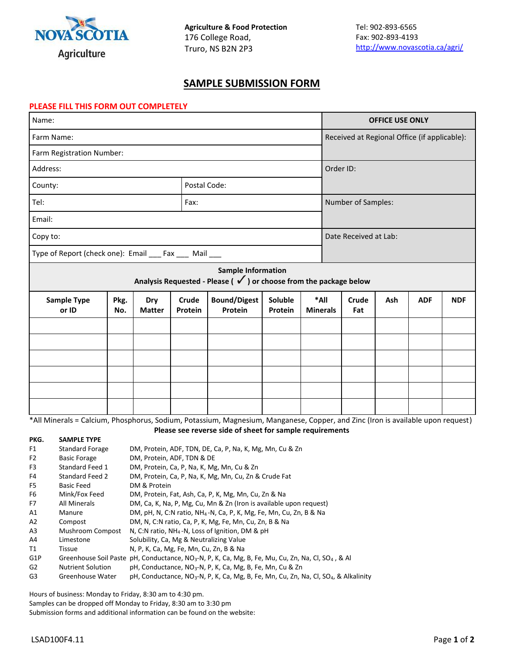

## **SAMPLE SUBMISSION FORM**

## **PLEASE FILL THIS FORM OUT COMPLETELY**

| Name:                                                                                                                           |             |                      |                  |                                                                                                            |                    | <b>OFFICE USE ONLY</b>  |                                              |                    |     |            |            |  |
|---------------------------------------------------------------------------------------------------------------------------------|-------------|----------------------|------------------|------------------------------------------------------------------------------------------------------------|--------------------|-------------------------|----------------------------------------------|--------------------|-----|------------|------------|--|
| Farm Name:                                                                                                                      |             |                      |                  |                                                                                                            |                    |                         | Received at Regional Office (if applicable): |                    |     |            |            |  |
| Farm Registration Number:                                                                                                       |             |                      |                  |                                                                                                            |                    |                         |                                              |                    |     |            |            |  |
| Address:                                                                                                                        |             |                      |                  |                                                                                                            |                    |                         | Order ID:                                    |                    |     |            |            |  |
| County:                                                                                                                         |             | Postal Code:         |                  |                                                                                                            |                    |                         |                                              |                    |     |            |            |  |
| Tel:                                                                                                                            |             |                      | Fax:             |                                                                                                            |                    |                         |                                              | Number of Samples: |     |            |            |  |
| Email:                                                                                                                          |             |                      |                  |                                                                                                            |                    |                         |                                              |                    |     |            |            |  |
| Copy to:                                                                                                                        |             |                      |                  |                                                                                                            |                    |                         | Date Received at Lab:                        |                    |     |            |            |  |
| Type of Report (check one): Email ___ Fax ___ Mail ___                                                                          |             |                      |                  |                                                                                                            |                    |                         |                                              |                    |     |            |            |  |
|                                                                                                                                 |             |                      |                  | <b>Sample Information</b><br>Analysis Requested - Please ( $\checkmark$ ) or choose from the package below |                    |                         |                                              |                    |     |            |            |  |
| <b>Sample Type</b><br>or ID                                                                                                     | Pkg.<br>No. | Dry<br><b>Matter</b> | Crude<br>Protein | <b>Bound/Digest</b><br>Protein                                                                             | Soluble<br>Protein | *All<br><b>Minerals</b> |                                              | Crude<br>Fat       | Ash | <b>ADF</b> | <b>NDF</b> |  |
|                                                                                                                                 |             |                      |                  |                                                                                                            |                    |                         |                                              |                    |     |            |            |  |
|                                                                                                                                 |             |                      |                  |                                                                                                            |                    |                         |                                              |                    |     |            |            |  |
|                                                                                                                                 |             |                      |                  |                                                                                                            |                    |                         |                                              |                    |     |            |            |  |
|                                                                                                                                 |             |                      |                  |                                                                                                            |                    |                         |                                              |                    |     |            |            |  |
|                                                                                                                                 |             |                      |                  |                                                                                                            |                    |                         |                                              |                    |     |            |            |  |
|                                                                                                                                 |             |                      |                  |                                                                                                            |                    |                         |                                              |                    |     |            |            |  |
| *All Minerals = Calcium, Phosphorus, Sodium, Potassium, Magnesium, Manganese, Copper, and Zinc (Iron is available upon request) |             |                      |                  |                                                                                                            |                    |                         |                                              |                    |     |            |            |  |

\*All Minerals = Calcium, Phosphorus, Sodium, Potassium, Magnesium, Manganese, Copper, and Zinc (Iron is available upon request) **Please see reverse side of sheet for sample requirements**

**PKG. SAMPLE TYPE**  F1 Standard Forage DM, Protein, ADF, TDN, DE, Ca, P, Na, K, Mg, Mn, Cu & Zn F2 Basic Forage DM, Protein, ADF, TDN & DE F3 Standard Feed 1 DM, Protein, Ca, P, Na, K, Mg, Mn, Cu & Zn F4 Standard Feed 2 DM, Protein, Ca, P, Na, K, Mg, Mn, Cu, Zn & Crude Fat F5 Basic Feed DM & Protein F6 Mink/Fox Feed DM, Protein, Fat, Ash, Ca, P, K, Mg, Mn, Cu, Zn & Na F7 All Minerals DM, Ca, K, Na, P, Mg, Cu, Mn & Zn (Iron is available upon request) A1 Manure DM, pH, N, C:N ratio, NH<sub>4</sub>-N, Ca, P, K, Mg, Fe, Mn, Cu, Zn, B & Na A2 Compost DM, N, C:N ratio, Ca, P, K, Mg, Fe, Mn, Cu, Zn, B & Na A3 Mushroom Compost N, C:N ratio, NH<sub>4</sub>-N, Loss of Ignition, DM & pH A4 Limestone Solubility, Ca, Mg & Neutralizing Value T1 Tissue N, P, K, Ca, Mg, Fe, Mn, Cu, Zn, B & Na G1P Greenhouse Soil Paste pH, Conductance, NO<sub>3</sub>-N, P, K, Ca, Mg, B, Fe, Mu, Cu, Zn, Na, Cl, SO<sub>4</sub>, & Al G2 Nutrient Solution pH, Conductance, NO<sub>3</sub>-N, P, K, Ca, Mg, B, Fe, Mn, Cu & Zn G3 Greenhouse Water pH, Conductance, NO<sub>3</sub>-N, P, K, Ca, Mg, B, Fe, Mn, Cu, Zn, Na, Cl, SO<sub>4</sub>, & Alkalinity

Hours of business: Monday to Friday, 8:30 am to 4:30 pm.

Samples can be dropped off Monday to Friday, 8:30 am to 3:30 pm Submission forms and additional information can be found on the website: